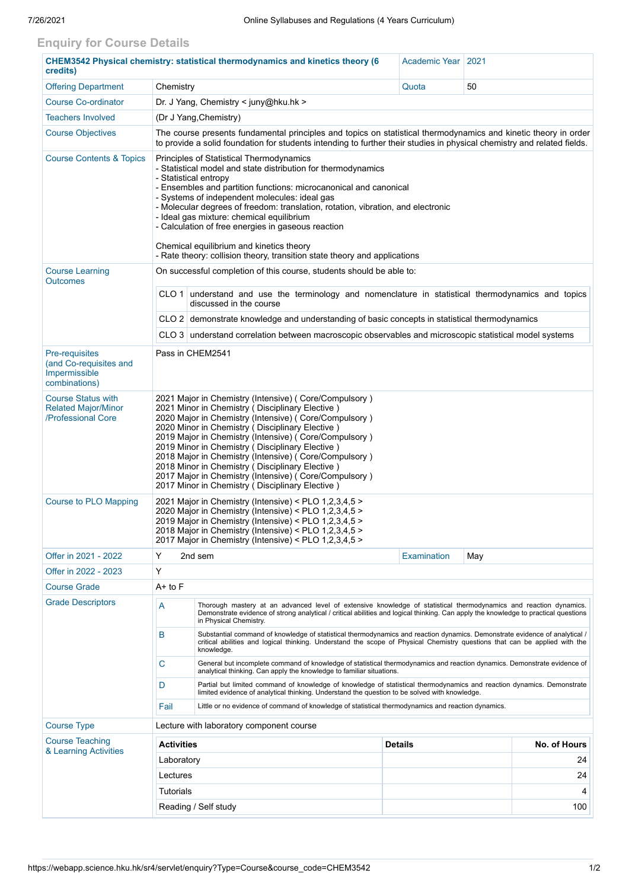## **Enquiry for Course Details**

| CHEM3542 Physical chemistry: statistical thermodynamics and kinetics theory (6<br>credits) |                                                                                                                                                                                                                                                                                                                                                                                                                                                                                                                                                                          | Academic Year                                                                                                                                                                                                           | 2021                           |     |  |  |  |
|--------------------------------------------------------------------------------------------|--------------------------------------------------------------------------------------------------------------------------------------------------------------------------------------------------------------------------------------------------------------------------------------------------------------------------------------------------------------------------------------------------------------------------------------------------------------------------------------------------------------------------------------------------------------------------|-------------------------------------------------------------------------------------------------------------------------------------------------------------------------------------------------------------------------|--------------------------------|-----|--|--|--|
| <b>Offering Department</b>                                                                 | Chemistry                                                                                                                                                                                                                                                                                                                                                                                                                                                                                                                                                                |                                                                                                                                                                                                                         | Quota                          | 50  |  |  |  |
| <b>Course Co-ordinator</b>                                                                 | Dr. J Yang, Chemistry < juny@hku.hk >                                                                                                                                                                                                                                                                                                                                                                                                                                                                                                                                    |                                                                                                                                                                                                                         |                                |     |  |  |  |
| <b>Teachers Involved</b>                                                                   | (Dr J Yang, Chemistry)                                                                                                                                                                                                                                                                                                                                                                                                                                                                                                                                                   |                                                                                                                                                                                                                         |                                |     |  |  |  |
| <b>Course Objectives</b>                                                                   | The course presents fundamental principles and topics on statistical thermodynamics and kinetic theory in order<br>to provide a solid foundation for students intending to further their studies in physical chemistry and related fields.                                                                                                                                                                                                                                                                                                                               |                                                                                                                                                                                                                         |                                |     |  |  |  |
| <b>Course Contents &amp; Topics</b>                                                        | Principles of Statistical Thermodynamics<br>- Statistical model and state distribution for thermodynamics<br>- Statistical entropy<br>- Ensembles and partition functions: microcanonical and canonical<br>- Systems of independent molecules: ideal gas<br>- Molecular degrees of freedom: translation, rotation, vibration, and electronic<br>- Ideal gas mixture: chemical equilibrium<br>- Calculation of free energies in gaseous reaction<br>Chemical equilibrium and kinetics theory<br>- Rate theory: collision theory, transition state theory and applications |                                                                                                                                                                                                                         |                                |     |  |  |  |
| <b>Course Learning</b><br><b>Outcomes</b>                                                  | On successful completion of this course, students should be able to:                                                                                                                                                                                                                                                                                                                                                                                                                                                                                                     |                                                                                                                                                                                                                         |                                |     |  |  |  |
|                                                                                            | CLO 1 understand and use the terminology and nomenclature in statistical thermodynamics and topics<br>discussed in the course                                                                                                                                                                                                                                                                                                                                                                                                                                            |                                                                                                                                                                                                                         |                                |     |  |  |  |
|                                                                                            | CLO 2 demonstrate knowledge and understanding of basic concepts in statistical thermodynamics                                                                                                                                                                                                                                                                                                                                                                                                                                                                            |                                                                                                                                                                                                                         |                                |     |  |  |  |
|                                                                                            | CLO 3 understand correlation between macroscopic observables and microscopic statistical model systems                                                                                                                                                                                                                                                                                                                                                                                                                                                                   |                                                                                                                                                                                                                         |                                |     |  |  |  |
| Pre-requisites<br>(and Co-requisites and<br>Impermissible<br>combinations)                 | Pass in CHEM2541                                                                                                                                                                                                                                                                                                                                                                                                                                                                                                                                                         |                                                                                                                                                                                                                         |                                |     |  |  |  |
| <b>Course Status with</b><br><b>Related Major/Minor</b><br>/Professional Core              | 2021 Major in Chemistry (Intensive) (Core/Compulsory)<br>2021 Minor in Chemistry (Disciplinary Elective)<br>2020 Major in Chemistry (Intensive) (Core/Compulsory)<br>2020 Minor in Chemistry ( Disciplinary Elective )<br>2019 Major in Chemistry (Intensive) (Core/Compulsory)<br>2019 Minor in Chemistry (Disciplinary Elective)<br>2018 Major in Chemistry (Intensive) (Core/Compulsory)<br>2018 Minor in Chemistry (Disciplinary Elective)<br>2017 Major in Chemistry (Intensive) (Core/Compulsory)<br>2017 Minor in Chemistry (Disciplinary Elective)               |                                                                                                                                                                                                                         |                                |     |  |  |  |
| <b>Course to PLO Mapping</b>                                                               | 2021 Major in Chemistry (Intensive) < PLO 1,2,3,4,5 ><br>2020 Major in Chemistry (Intensive) < PLO 1,2,3,4,5 ><br>2019 Major in Chemistry (Intensive) < PLO 1,2,3,4,5 ><br>2018 Major in Chemistry (Intensive) < PLO 1,2,3,4,5 ><br>2017 Major in Chemistry (Intensive) < PLO 1,2,3,4,5 >                                                                                                                                                                                                                                                                                |                                                                                                                                                                                                                         |                                |     |  |  |  |
| Offer in 2021 - 2022                                                                       | Y                                                                                                                                                                                                                                                                                                                                                                                                                                                                                                                                                                        | 2nd sem                                                                                                                                                                                                                 | Examination                    | May |  |  |  |
| Offer in 2022 - 2023                                                                       | Y                                                                                                                                                                                                                                                                                                                                                                                                                                                                                                                                                                        |                                                                                                                                                                                                                         |                                |     |  |  |  |
| <b>Course Grade</b>                                                                        | A+ to F                                                                                                                                                                                                                                                                                                                                                                                                                                                                                                                                                                  |                                                                                                                                                                                                                         |                                |     |  |  |  |
| <b>Grade Descriptors</b>                                                                   | Thorough mastery at an advanced level of extensive knowledge of statistical thermodynamics and reaction dynamics.<br>A<br>Demonstrate evidence of strong analytical / critical abilities and logical thinking. Can apply the knowledge to practical questions<br>in Physical Chemistry.                                                                                                                                                                                                                                                                                  |                                                                                                                                                                                                                         |                                |     |  |  |  |
|                                                                                            | B<br>Substantial command of knowledge of statistical thermodynamics and reaction dynamics. Demonstrate evidence of analytical /<br>critical abilities and logical thinking. Understand the scope of Physical Chemistry questions that can be applied with the<br>knowledge.                                                                                                                                                                                                                                                                                              |                                                                                                                                                                                                                         |                                |     |  |  |  |
|                                                                                            | C                                                                                                                                                                                                                                                                                                                                                                                                                                                                                                                                                                        | General but incomplete command of knowledge of statistical thermodynamics and reaction dynamics. Demonstrate evidence of<br>analytical thinking. Can apply the knowledge to familiar situations.                        |                                |     |  |  |  |
|                                                                                            | D                                                                                                                                                                                                                                                                                                                                                                                                                                                                                                                                                                        | Partial but limited command of knowledge of knowledge of statistical thermodynamics and reaction dynamics. Demonstrate<br>limited evidence of analytical thinking. Understand the question to be solved with knowledge. |                                |     |  |  |  |
|                                                                                            | Little or no evidence of command of knowledge of statistical thermodynamics and reaction dynamics.<br>Fail                                                                                                                                                                                                                                                                                                                                                                                                                                                               |                                                                                                                                                                                                                         |                                |     |  |  |  |
| <b>Course Type</b>                                                                         | Lecture with laboratory component course                                                                                                                                                                                                                                                                                                                                                                                                                                                                                                                                 |                                                                                                                                                                                                                         |                                |     |  |  |  |
| <b>Course Teaching</b><br>& Learning Activities                                            | <b>Activities</b>                                                                                                                                                                                                                                                                                                                                                                                                                                                                                                                                                        |                                                                                                                                                                                                                         | <b>Details</b><br>No. of Hours |     |  |  |  |
|                                                                                            | Laboratory                                                                                                                                                                                                                                                                                                                                                                                                                                                                                                                                                               |                                                                                                                                                                                                                         |                                | 24  |  |  |  |
|                                                                                            | Lectures                                                                                                                                                                                                                                                                                                                                                                                                                                                                                                                                                                 |                                                                                                                                                                                                                         |                                | 24  |  |  |  |
|                                                                                            | <b>Tutorials</b>                                                                                                                                                                                                                                                                                                                                                                                                                                                                                                                                                         |                                                                                                                                                                                                                         |                                | 4   |  |  |  |
|                                                                                            | Reading / Self study<br>100                                                                                                                                                                                                                                                                                                                                                                                                                                                                                                                                              |                                                                                                                                                                                                                         |                                |     |  |  |  |